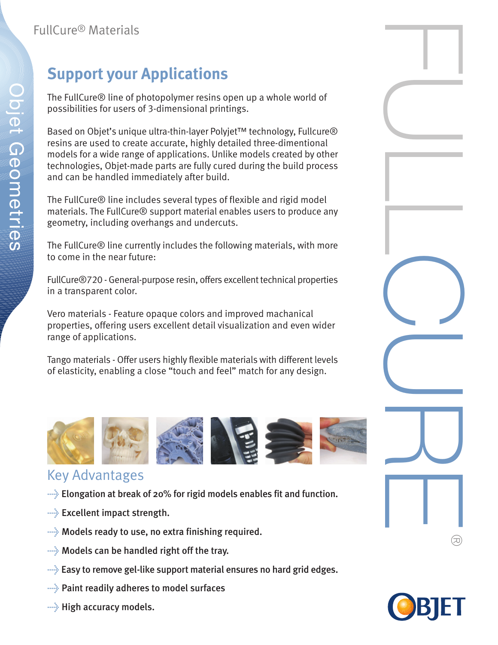## **Support your Applications**

The FullCure® line of photopolymer resins open up a whole world of possibilities for users of 3-dimensional printings.

Based on Objet's unique ultra-thin-layer Polyjet™ technology, Fullcure® resins are used to create accurate, highly detailed three-dimentional models for a wide range of applications. Unlike models created by other technologies, Objet-made parts are fully cured during the build process and can be handled immediately after build.

The FullCure® line includes several types of flexible and rigid model materials. The FullCure® support material enables users to produce any geometry, including overhangs and undercuts.

The FullCure® line currently includes the following materials, with more to come in the near future:

FullCure®720 - General-purpose resin, offers excellent technical properties in a transparent color.

Vero materials - Feature opaque colors and improved machanical properties, offering users excellent detail visualization and even wider range of applications.

Tango materials - Offer users highly flexible materials with different levels of elasticity, enabling a close "touch and feel" match for any design.



## Key Advantages

- $\rightarrow$  Elongation at break of 20% for rigid models enables fit and function.
- $\rightarrow$  Excellent impact strength.
- $\rightarrow$  Models ready to use, no extra finishing required.
- $\rightarrow$  Models can be handled right off the tray.
- $\rightarrow$  Easy to remove gel-like support material ensures no hard grid edges.
- > Paint readily adheres to model surfaces
- $\rightarrow$  High accuracy models.